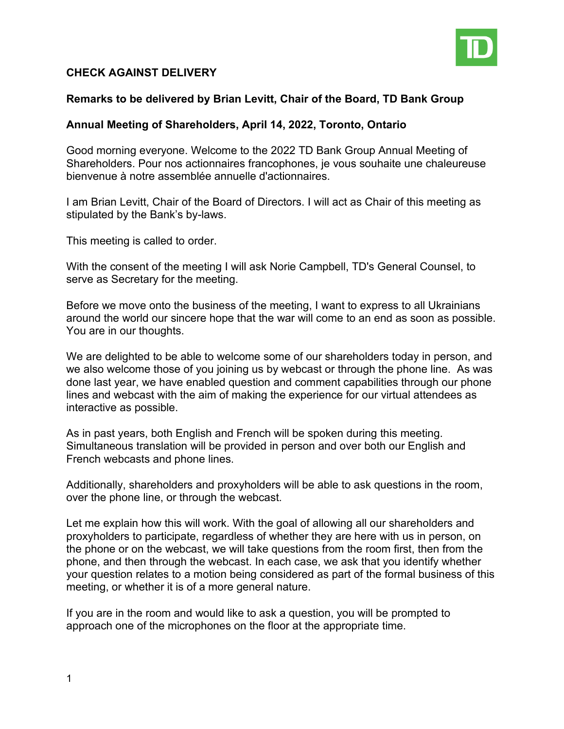

## **CHECK AGAINST DELIVERY**

## **Remarks to be delivered by Brian Levitt, Chair of the Board, TD Bank Group**

## **Annual Meeting of Shareholders, April 14, 2022, Toronto, Ontario**

Good morning everyone. Welcome to the 2022 TD Bank Group Annual Meeting of Shareholders. Pour nos actionnaires francophones, je vous souhaite une chaleureuse bienvenue à notre assemblée annuelle d'actionnaires.

I am Brian Levitt, Chair of the Board of Directors. I will act as Chair of this meeting as stipulated by the Bank's by-laws.

This meeting is called to order.

With the consent of the meeting I will ask Norie Campbell, TD's General Counsel, to serve as Secretary for the meeting.

Before we move onto the business of the meeting, I want to express to all Ukrainians around the world our sincere hope that the war will come to an end as soon as possible. You are in our thoughts.

We are delighted to be able to welcome some of our shareholders today in person, and we also welcome those of you joining us by webcast or through the phone line. As was done last year, we have enabled question and comment capabilities through our phone lines and webcast with the aim of making the experience for our virtual attendees as interactive as possible.

As in past years, both English and French will be spoken during this meeting. Simultaneous translation will be provided in person and over both our English and French webcasts and phone lines.

Additionally, shareholders and proxyholders will be able to ask questions in the room, over the phone line, or through the webcast.

Let me explain how this will work. With the goal of allowing all our shareholders and proxyholders to participate, regardless of whether they are here with us in person, on the phone or on the webcast, we will take questions from the room first, then from the phone, and then through the webcast. In each case, we ask that you identify whether your question relates to a motion being considered as part of the formal business of this meeting, or whether it is of a more general nature.

If you are in the room and would like to ask a question, you will be prompted to approach one of the microphones on the floor at the appropriate time.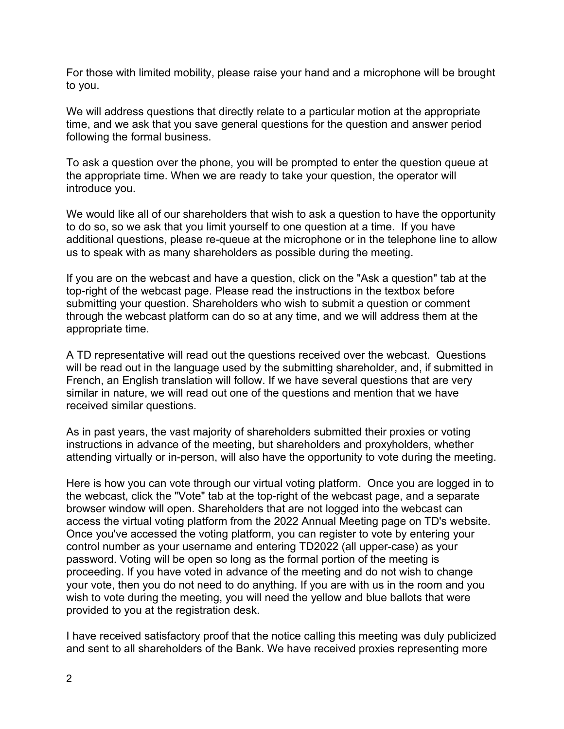For those with limited mobility, please raise your hand and a microphone will be brought to you.

We will address questions that directly relate to a particular motion at the appropriate time, and we ask that you save general questions for the question and answer period following the formal business.

To ask a question over the phone, you will be prompted to enter the question queue at the appropriate time. When we are ready to take your question, the operator will introduce you.

We would like all of our shareholders that wish to ask a question to have the opportunity to do so, so we ask that you limit yourself to one question at a time. If you have additional questions, please re-queue at the microphone or in the telephone line to allow us to speak with as many shareholders as possible during the meeting.

If you are on the webcast and have a question, click on the "Ask a question" tab at the top-right of the webcast page. Please read the instructions in the textbox before submitting your question. Shareholders who wish to submit a question or comment through the webcast platform can do so at any time, and we will address them at the appropriate time.

A TD representative will read out the questions received over the webcast. Questions will be read out in the language used by the submitting shareholder, and, if submitted in French, an English translation will follow. If we have several questions that are very similar in nature, we will read out one of the questions and mention that we have received similar questions.

As in past years, the vast majority of shareholders submitted their proxies or voting instructions in advance of the meeting, but shareholders and proxyholders, whether attending virtually or in-person, will also have the opportunity to vote during the meeting.

Here is how you can vote through our virtual voting platform. Once you are logged in to the webcast, click the "Vote" tab at the top-right of the webcast page, and a separate browser window will open. Shareholders that are not logged into the webcast can access the virtual voting platform from the 2022 Annual Meeting page on TD's website. Once you've accessed the voting platform, you can register to vote by entering your control number as your username and entering TD2022 (all upper-case) as your password. Voting will be open so long as the formal portion of the meeting is proceeding. If you have voted in advance of the meeting and do not wish to change your vote, then you do not need to do anything. If you are with us in the room and you wish to vote during the meeting, you will need the yellow and blue ballots that were provided to you at the registration desk.

I have received satisfactory proof that the notice calling this meeting was duly publicized and sent to all shareholders of the Bank. We have received proxies representing more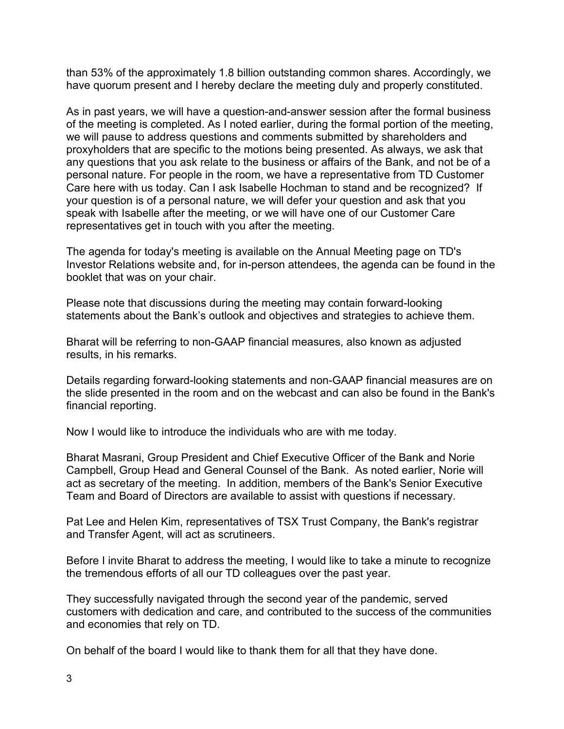than 53% of the approximately 1.8 billion outstanding common shares. Accordingly, we have quorum present and I hereby declare the meeting duly and properly constituted.

As in past years, we will have a question-and-answer session after the formal business of the meeting is completed. As I noted earlier, during the formal portion of the meeting, we will pause to address questions and comments submitted by shareholders and proxyholders that are specific to the motions being presented. As always, we ask that any questions that you ask relate to the business or affairs of the Bank, and not be of a personal nature. For people in the room, we have a representative from TD Customer Care here with us today. Can I ask Isabelle Hochman to stand and be recognized? If your question is of a personal nature, we will defer your question and ask that you speak with Isabelle after the meeting, or we will have one of our Customer Care representatives get in touch with you after the meeting.

The agenda for today's meeting is available on the Annual Meeting page on TD's Investor Relations website and, for in-person attendees, the agenda can be found in the booklet that was on your chair.

Please note that discussions during the meeting may contain forward-looking statements about the Bank's outlook and objectives and strategies to achieve them.

Bharat will be referring to non-GAAP financial measures, also known as adjusted results, in his remarks.

Details regarding forward-looking statements and non-GAAP financial measures are on the slide presented in the room and on the webcast and can also be found in the Bank's financial reporting.

Now I would like to introduce the individuals who are with me today.

Bharat Masrani, Group President and Chief Executive Officer of the Bank and Norie Campbell, Group Head and General Counsel of the Bank. As noted earlier, Norie will act as secretary of the meeting. In addition, members of the Bank's Senior Executive Team and Board of Directors are available to assist with questions if necessary.

Pat Lee and Helen Kim, representatives of TSX Trust Company, the Bank's registrar and Transfer Agent, will act as scrutineers.

Before I invite Bharat to address the meeting, I would like to take a minute to recognize the tremendous efforts of all our TD colleagues over the past year.

They successfully navigated through the second year of the pandemic, served customers with dedication and care, and contributed to the success of the communities and economies that rely on TD.

On behalf of the board I would like to thank them for all that they have done.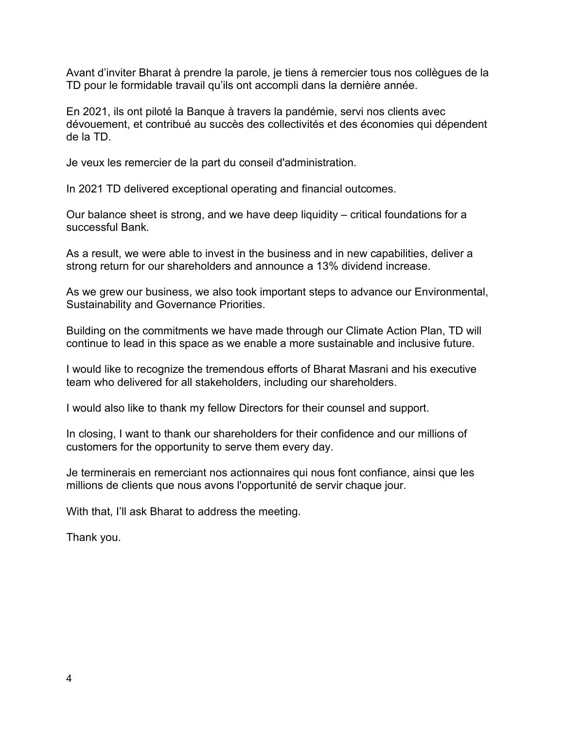Avant d'inviter Bharat à prendre la parole, je tiens à remercier tous nos collègues de la TD pour le formidable travail qu'ils ont accompli dans la dernière année.

En 2021, ils ont piloté la Banque à travers la pandémie, servi nos clients avec dévouement, et contribué au succès des collectivités et des économies qui dépendent de la TD.

Je veux les remercier de la part du conseil d'administration.

In 2021 TD delivered exceptional operating and financial outcomes.

Our balance sheet is strong, and we have deep liquidity – critical foundations for a successful Bank.

As a result, we were able to invest in the business and in new capabilities, deliver a strong return for our shareholders and announce a 13% dividend increase.

As we grew our business, we also took important steps to advance our Environmental, Sustainability and Governance Priorities.

Building on the commitments we have made through our Climate Action Plan, TD will continue to lead in this space as we enable a more sustainable and inclusive future.

I would like to recognize the tremendous efforts of Bharat Masrani and his executive team who delivered for all stakeholders, including our shareholders.

I would also like to thank my fellow Directors for their counsel and support.

In closing, I want to thank our shareholders for their confidence and our millions of customers for the opportunity to serve them every day.

Je terminerais en remerciant nos actionnaires qui nous font confiance, ainsi que les millions de clients que nous avons l'opportunité de servir chaque jour.

With that, I'll ask Bharat to address the meeting.

Thank you.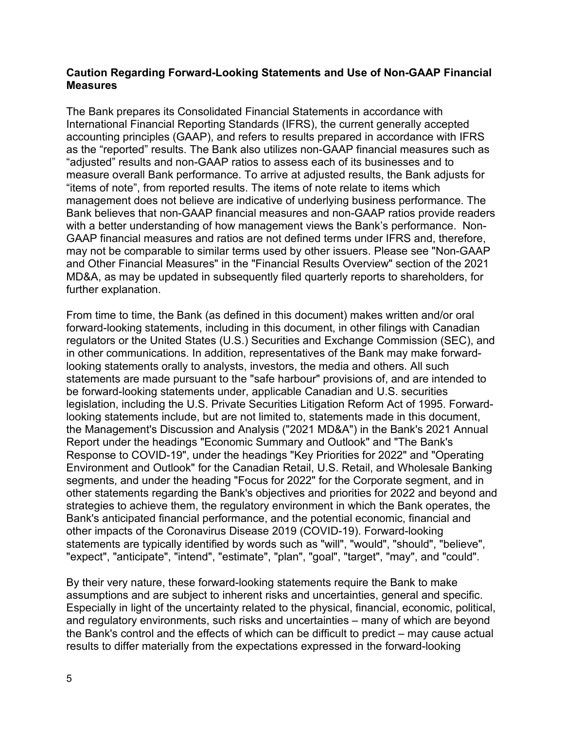## **Caution Regarding Forward-Looking Statements and Use of Non-GAAP Financial Measures**

The Bank prepares its Consolidated Financial Statements in accordance with International Financial Reporting Standards (IFRS), the current generally accepted accounting principles (GAAP), and refers to results prepared in accordance with IFRS as the "reported" results. The Bank also utilizes non-GAAP financial measures such as "adjusted" results and non-GAAP ratios to assess each of its businesses and to measure overall Bank performance. To arrive at adjusted results, the Bank adjusts for "items of note", from reported results. The items of note relate to items which management does not believe are indicative of underlying business performance. The Bank believes that non-GAAP financial measures and non-GAAP ratios provide readers with a better understanding of how management views the Bank's performance. Non-GAAP financial measures and ratios are not defined terms under IFRS and, therefore, may not be comparable to similar terms used by other issuers. Please see "Non-GAAP and Other Financial Measures" in the "Financial Results Overview" section of the 2021 MD&A, as may be updated in subsequently filed quarterly reports to shareholders, for further explanation.

From time to time, the Bank (as defined in this document) makes written and/or oral forward-looking statements, including in this document, in other filings with Canadian regulators or the United States (U.S.) Securities and Exchange Commission (SEC), and in other communications. In addition, representatives of the Bank may make forwardlooking statements orally to analysts, investors, the media and others. All such statements are made pursuant to the "safe harbour" provisions of, and are intended to be forward-looking statements under, applicable Canadian and U.S. securities legislation, including the U.S. Private Securities Litigation Reform Act of 1995. Forwardlooking statements include, but are not limited to, statements made in this document, the Management's Discussion and Analysis ("2021 MD&A") in the Bank's 2021 Annual Report under the headings "Economic Summary and Outlook" and "The Bank's Response to COVID-19", under the headings "Key Priorities for 2022" and "Operating Environment and Outlook" for the Canadian Retail, U.S. Retail, and Wholesale Banking segments, and under the heading "Focus for 2022" for the Corporate segment, and in other statements regarding the Bank's objectives and priorities for 2022 and beyond and strategies to achieve them, the regulatory environment in which the Bank operates, the Bank's anticipated financial performance, and the potential economic, financial and other impacts of the Coronavirus Disease 2019 (COVID-19). Forward-looking statements are typically identified by words such as "will", "would", "should", "believe", "expect", "anticipate", "intend", "estimate", "plan", "goal", "target", "may", and "could".

By their very nature, these forward-looking statements require the Bank to make assumptions and are subject to inherent risks and uncertainties, general and specific. Especially in light of the uncertainty related to the physical, financial, economic, political, and regulatory environments, such risks and uncertainties – many of which are beyond the Bank's control and the effects of which can be difficult to predict – may cause actual results to differ materially from the expectations expressed in the forward-looking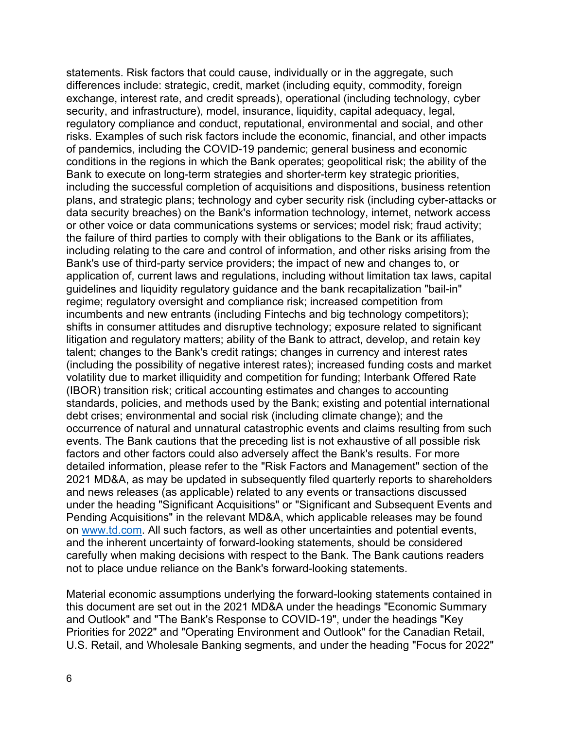statements. Risk factors that could cause, individually or in the aggregate, such differences include: strategic, credit, market (including equity, commodity, foreign exchange, interest rate, and credit spreads), operational (including technology, cyber security, and infrastructure), model, insurance, liquidity, capital adequacy, legal, regulatory compliance and conduct, reputational, environmental and social, and other risks. Examples of such risk factors include the economic, financial, and other impacts of pandemics, including the COVID-19 pandemic; general business and economic conditions in the regions in which the Bank operates; geopolitical risk; the ability of the Bank to execute on long-term strategies and shorter-term key strategic priorities, including the successful completion of acquisitions and dispositions, business retention plans, and strategic plans; technology and cyber security risk (including cyber-attacks or data security breaches) on the Bank's information technology, internet, network access or other voice or data communications systems or services; model risk; fraud activity; the failure of third parties to comply with their obligations to the Bank or its affiliates, including relating to the care and control of information, and other risks arising from the Bank's use of third-party service providers; the impact of new and changes to, or application of, current laws and regulations, including without limitation tax laws, capital guidelines and liquidity regulatory guidance and the bank recapitalization "bail-in" regime; regulatory oversight and compliance risk; increased competition from incumbents and new entrants (including Fintechs and big technology competitors); shifts in consumer attitudes and disruptive technology; exposure related to significant litigation and regulatory matters; ability of the Bank to attract, develop, and retain key talent; changes to the Bank's credit ratings; changes in currency and interest rates (including the possibility of negative interest rates); increased funding costs and market volatility due to market illiquidity and competition for funding; Interbank Offered Rate (IBOR) transition risk; critical accounting estimates and changes to accounting standards, policies, and methods used by the Bank; existing and potential international debt crises; environmental and social risk (including climate change); and the occurrence of natural and unnatural catastrophic events and claims resulting from such events. The Bank cautions that the preceding list is not exhaustive of all possible risk factors and other factors could also adversely affect the Bank's results. For more detailed information, please refer to the "Risk Factors and Management" section of the 2021 MD&A, as may be updated in subsequently filed quarterly reports to shareholders and news releases (as applicable) related to any events or transactions discussed under the heading "Significant Acquisitions" or "Significant and Subsequent Events and Pending Acquisitions" in the relevant MD&A, which applicable releases may be found on [www.td.com.](http://www.td.com/) All such factors, as well as other uncertainties and potential events, and the inherent uncertainty of forward-looking statements, should be considered carefully when making decisions with respect to the Bank. The Bank cautions readers not to place undue reliance on the Bank's forward-looking statements.

Material economic assumptions underlying the forward-looking statements contained in this document are set out in the 2021 MD&A under the headings "Economic Summary and Outlook" and "The Bank's Response to COVID-19", under the headings "Key Priorities for 2022" and "Operating Environment and Outlook" for the Canadian Retail, U.S. Retail, and Wholesale Banking segments, and under the heading "Focus for 2022"